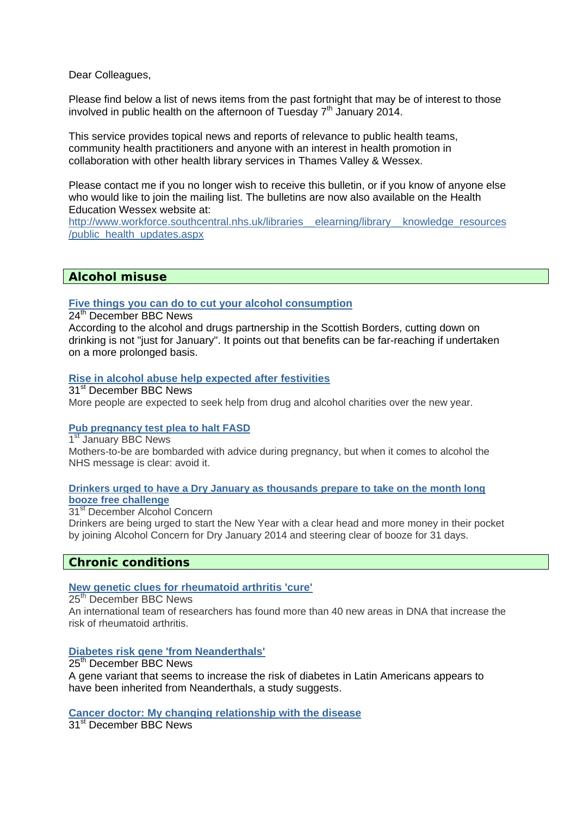Dear Colleagues,

Please find below a list of news items from the past fortnight that may be of interest to those involved in public health on the afternoon of Tuesday  $7<sup>th</sup>$  January 2014.

This service provides topical news and reports of relevance to public health teams, community health practitioners and anyone with an interest in health promotion in collaboration with other health library services in Thames Valley & Wessex.

Please contact me if you no longer wish to receive this bulletin, or if you know of anyone else who would like to join the mailing list. The bulletins are now also available on the Health Education Wessex website at:

[http://www.workforce.southcentral.nhs.uk/libraries\\_\\_elearning/library\\_\\_knowledge\\_resources](http://www.workforce.southcentral.nhs.uk/libraries__elearning/library__knowledge_resources/public_health_updates.aspx) [/public\\_health\\_updates.aspx](http://www.workforce.southcentral.nhs.uk/libraries__elearning/library__knowledge_resources/public_health_updates.aspx)

# **Alcohol misuse**

### **[Five things you can do to cut your alcohol consumption](http://www.bbc.co.uk/news/uk-scotland-south-scotland-25416350)**

24th December BBC News

According to the alcohol and drugs partnership in the Scottish Borders, cutting down on drinking is not "just for January". It points out that benefits can be far-reaching if undertaken on a more prolonged basis.

### **[Rise in alcohol abuse help expected after festivities](http://www.bbc.co.uk/news/uk-wales-25364476)**

31<sup>st</sup> December BBC News

More people are expected to seek help from drug and alcohol charities over the new year.

### **[Pub pregnancy test plea to halt FASD](http://www.bbc.co.uk/news/uk-england-25022100)**

1st January BBC News Mothers-to-be are bombarded with advice during pregnancy, but when it comes to alcohol the NHS message is clear: avoid it.

### **[Drinkers urged to have a Dry January as thousands prepare to take on the month long](http://www.alcoholconcern.org.uk/media-centre/news/drinkers-urged-to-have-a-dry-january-as-thousands-prepare-to-take-on-the-month-long-booze-free-challenge)  [booze free challenge](http://www.alcoholconcern.org.uk/media-centre/news/drinkers-urged-to-have-a-dry-january-as-thousands-prepare-to-take-on-the-month-long-booze-free-challenge)**

31<sup>st</sup> December Alcohol Concern

Drinkers are being urged to start the New Year with a clear head and more money in their pocket by joining Alcohol Concern for Dry January 2014 and steering clear of booze for 31 days.

# **Chronic conditions**

### **[New genetic clues for rheumatoid arthritis 'cure'](http://www.bbc.co.uk/news/health-25498840)**

25th December BBC News

An international team of researchers has found more than 40 new areas in DNA that increase the risk of rheumatoid arthritis.

### **[Diabetes risk gene 'from Neanderthals'](http://www.bbc.co.uk/news/science-environment-25506198)**

25<sup>th</sup> December BBC News A gene variant that seems to increase the risk of diabetes in Latin Americans appears to have been inherited from Neanderthals, a study suggests.

# **[Cancer doctor: My changing relationship with the disease](http://www.bbc.co.uk/news/world-asia-25505384)**

31st December BBC News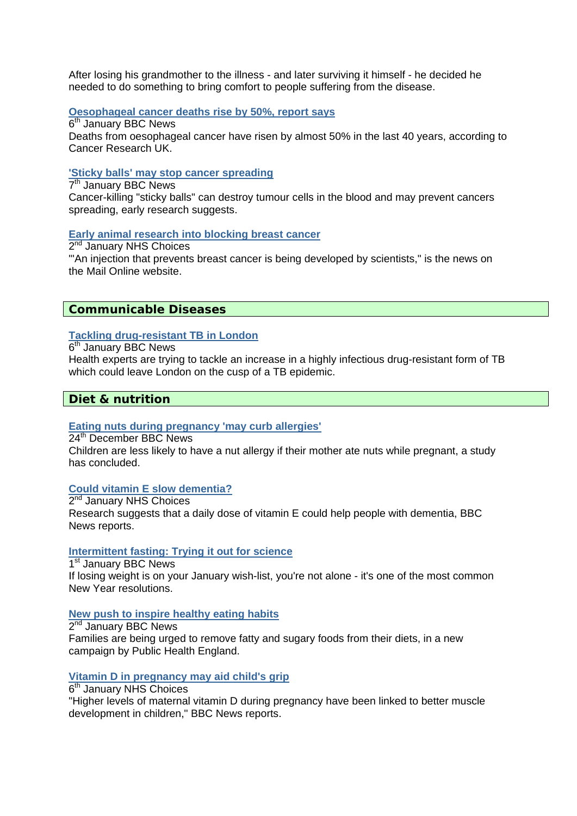After losing his grandmother to the illness - and later surviving it himself - he decided he needed to do something to bring comfort to people suffering from the disease.

# **[Oesophageal cancer deaths rise by 50%, report says](http://www.bbc.co.uk/news/health-25622329)**

6<sup>th</sup> January BBC News Deaths from oesophageal cancer have risen by almost 50% in the last 40 years, according to Cancer Research UK.

### **['Sticky balls' may stop cancer spreading](http://www.bbc.co.uk/news/health-25625934)**

7th January BBC News Cancer-killing "sticky balls" can destroy tumour cells in the blood and may prevent cancers spreading, early research suggests.

# **[Early animal research into blocking breast cancer](http://www.nhs.uk/news/2014/01January/Pages/Early-animal-research-into-blocking-breast-cancer.aspx)**

2nd January NHS Choices "'An injection that prevents breast cancer is being developed by scientists," is the news on the Mail Online website.

# **Communicable Diseases**

# **[Tackling drug-resistant TB in London](http://www.bbc.co.uk/news/uk-england-25470678)**

6th January BBC News

Health experts are trying to tackle an increase in a highly infectious drug-resistant form of TB which could leave London on the cusp of a TB epidemic.

# **Diet & nutrition**

# **[Eating nuts during pregnancy 'may curb allergies'](http://www.bbc.co.uk/news/health-25492620)**

24th December BBC News Children are less likely to have a nut allergy if their mother ate nuts while pregnant, a study has concluded.

# **[Could vitamin E slow dementia?](http://www.nhs.uk/news/2014/01January/Pages/could-vitamin-e-slow-dementia.aspx)**

2nd January NHS Choices Research suggests that a daily dose of vitamin E could help people with dementia, BBC News reports.

### **[Intermittent fasting: Trying it out for science](http://www.bbc.co.uk/news/magazine-25498742)**

1st January BBC News If losing weight is on your January wish-list, you're not alone - it's one of the most common New Year resolutions.

# **[New push to inspire healthy eating habits](http://www.bbc.co.uk/news/health-25573340)**

2nd January BBC News Families are being urged to remove fatty and sugary foods from their diets, in a new campaign by Public Health England.

### **[Vitamin D in pregnancy may aid child's grip](http://www.nhs.uk/news/2014/01January/Pages/Vit-D-in-pregnancy-may-help-child-muscle-strength.aspx)**

6th January NHS Choices

"Higher levels of maternal vitamin D during pregnancy have been linked to better muscle development in children," BBC News reports.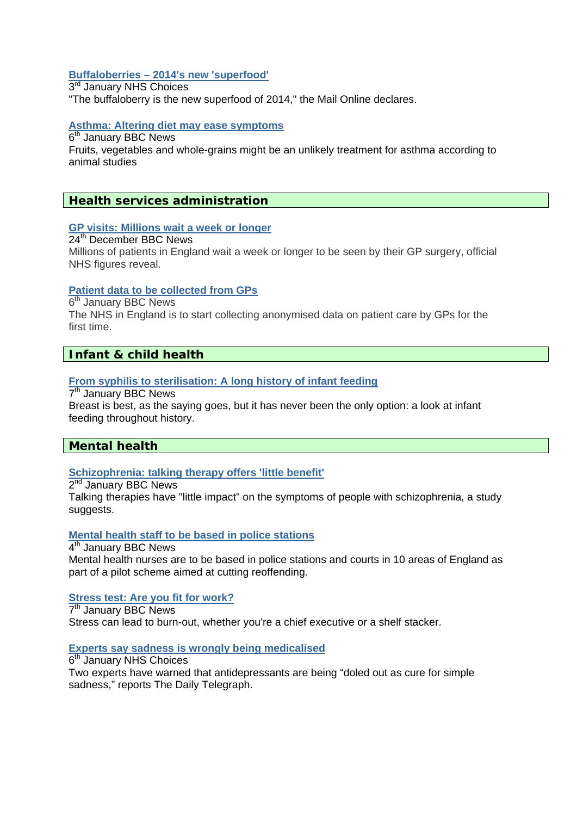# **[Buffaloberries – 2014's new 'superfood'](http://www.nhs.uk/news/2014/01January/Pages/Buffaloberries-2014s-new-superfood.aspx)**

3rd January NHS Choices "The buffaloberry is the new superfood of 2014," the Mail Online declares.

# **[Asthma: Altering diet may ease symptoms](http://www.bbc.co.uk/news/health-25592214)**

6th January BBC News

Fruits, vegetables and whole-grains might be an unlikely treatment for asthma according to animal studies

# **Health services administration**

### **[GP visits: Millions wait a week or longer](http://www.bbc.co.uk/news/health-25494943)**

24th December BBC News Millions of patients in England wait a week or longer to be seen by their GP surgery, official NHS figures reveal.

### **[Patient data to be collected from GPs](http://www.bbc.co.uk/news/health-25588544)**

6th January BBC News

The NHS in England is to start collecting anonymised data on patient care by GPs for the first time.

# **Infant & child health**

### **[From syphilis to sterilisation: A long history of infant feeding](http://www.bbc.co.uk/news/magazine-25629934)**

7th January BBC News

Breast is best, as the saying goes, but it has never been the only option: a look at infant feeding throughout history.

# **Mental health**

### **[Schizophrenia: talking therapy offers 'little benefit'](http://www.bbc.co.uk/news/health-25574773)**

2<sup>nd</sup> January BBC News

Talking therapies have "little impact" on the symptoms of people with schizophrenia, a study suggests.

### **[Mental health staff to be based in police stations](http://www.bbc.co.uk/news/health-25588547)**

4th January BBC News Mental health nurses are to be based in police stations and courts in 10 areas of England as part of a pilot scheme aimed at cutting reoffending.

### **[Stress test: Are you fit for work?](http://www.bbc.co.uk/news/business-25316690)**

7th January BBC News Stress can lead to burn-out, whether you're a chief executive or a shelf stacker.

### **[Experts say sadness is wrongly being medicalised](http://www.nhs.uk/news/2014/01January/Pages/Experts-say-sadness-is-wrongly-being-medicalised.aspx)**

 $6<sup>th</sup>$  January NHS Choices Two experts have warned that antidepressants are being "doled out as cure for simple sadness," reports The Daily Telegraph.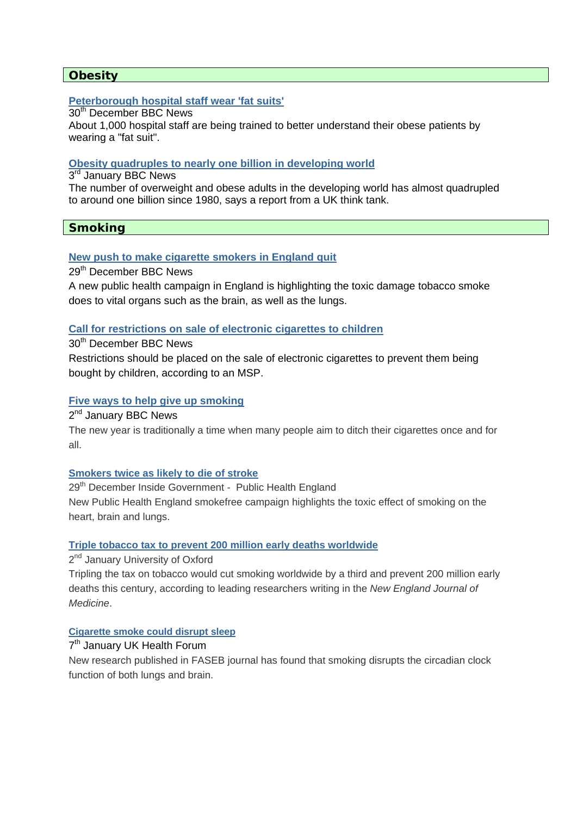# **Obesity**

# **[Peterborough hospital staff wear 'fat suits'](http://www.bbc.co.uk/news/uk-england-cambridgeshire-25432299)**

30<sup>th</sup> December BBC News

About 1,000 hospital staff are being trained to better understand their obese patients by wearing a "fat suit".

### **[Obesity quadruples to nearly one billion in developing world](http://www.bbc.co.uk/news/health-25576400)**

3rd January BBC News

The number of overweight and obese adults in the developing world has almost quadrupled to around one billion since 1980, says a report from a UK think tank.

# **Smoking**

### **[New push to make cigarette smokers in England quit](http://www.bbc.co.uk/news/health-25540658)**

29th December BBC News

A new public health campaign in England is highlighting the toxic damage tobacco smoke does to vital organs such as the brain, as well as the lungs.

### **[Call for restrictions on sale of electronic cigarettes to children](http://www.bbc.co.uk/news/uk-scotland-25544102)**

### 30<sup>th</sup> December BBC News

Restrictions should be placed on the sale of electronic cigarettes to prevent them being bought by children, according to an MSP.

### **[Five ways to help give up smoking](http://www.bbc.co.uk/news/uk-scotland-south-scotland-25450579)**

2nd January BBC News

The new year is traditionally a time when many people aim to ditch their cigarettes once and for all.

### **[Smokers twice as likely to die of stroke](https://www.gov.uk/government/news/smokers-twice-as-likely-to-die-of-stroke)**

29<sup>th</sup> December Inside Government - Public Health England New Public Health England smokefree campaign highlights the toxic effect of smoking on the heart, brain and lungs.

### **[Triple tobacco tax to prevent 200 million early deaths worldwide](http://www.ox.ac.uk/media/news_stories/2014/140102_2.html)**

2<sup>nd</sup> January University of Oxford

Tripling the tax on tobacco would cut smoking worldwide by a third and prevent 200 million early deaths this century, according to leading researchers writing in the *New England Journal of Medicine*.

# **[Cigarette smoke could disrupt sleep](http://www.ukhealthforum.org.uk/prevention/pie/?entryid43=33085)**

# 7<sup>th</sup> January UK Health Forum

New research published in FASEB journal has found that smoking disrupts the circadian clock function of both lungs and brain.